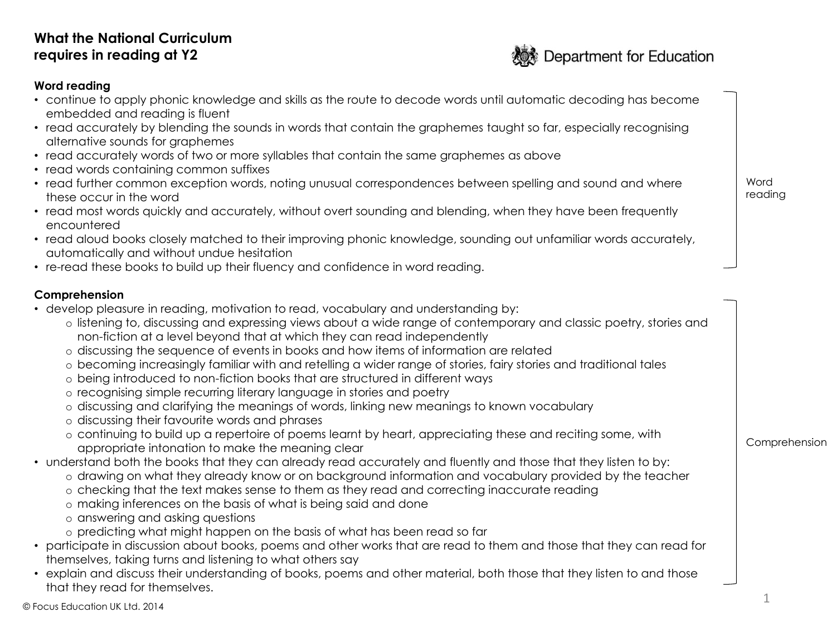# **What the National Curriculum requires in reading at Y2**



### **Word reading**

- continue to apply phonic knowledge and skills as the route to decode words until automatic decoding has become embedded and reading is fluent
- read accurately by blending the sounds in words that contain the graphemes taught so far, especially recognising alternative sounds for graphemes
- read accurately words of two or more syllables that contain the same graphemes as above
- read words containing common suffixes
- read further common exception words, noting unusual correspondences between spelling and sound and where these occur in the word
- read most words quickly and accurately, without overt sounding and blending, when they have been frequently encountered
- read aloud books closely matched to their improving phonic knowledge, sounding out unfamiliar words accurately, automatically and without undue hesitation
- re-read these books to build up their fluency and confidence in word reading.

## **Comprehension**

- develop pleasure in reading, motivation to read, vocabulary and understanding by:
	- o listening to, discussing and expressing views about a wide range of contemporary and classic poetry, stories and non-fiction at a level beyond that at which they can read independently
	- o discussing the sequence of events in books and how items of information are related
	- o becoming increasingly familiar with and retelling a wider range of stories, fairy stories and traditional tales
	- o being introduced to non-fiction books that are structured in different ways
	- o recognising simple recurring literary language in stories and poetry
	- o discussing and clarifying the meanings of words, linking new meanings to known vocabulary
	- o discussing their favourite words and phrases
	- o continuing to build up a repertoire of poems learnt by heart, appreciating these and reciting some, with appropriate intonation to make the meaning clear
- understand both the books that they can already read accurately and fluently and those that they listen to by:
	- o drawing on what they already know or on background information and vocabulary provided by the teacher
	- o checking that the text makes sense to them as they read and correcting inaccurate reading
	- o making inferences on the basis of what is being said and done
	- o answering and asking questions
	- o predicting what might happen on the basis of what has been read so far
- participate in discussion about books, poems and other works that are read to them and those that they can read for themselves, taking turns and listening to what others say
- explain and discuss their understanding of books, poems and other material, both those that they listen to and those that they read for themselves.

Word reading

Comprehension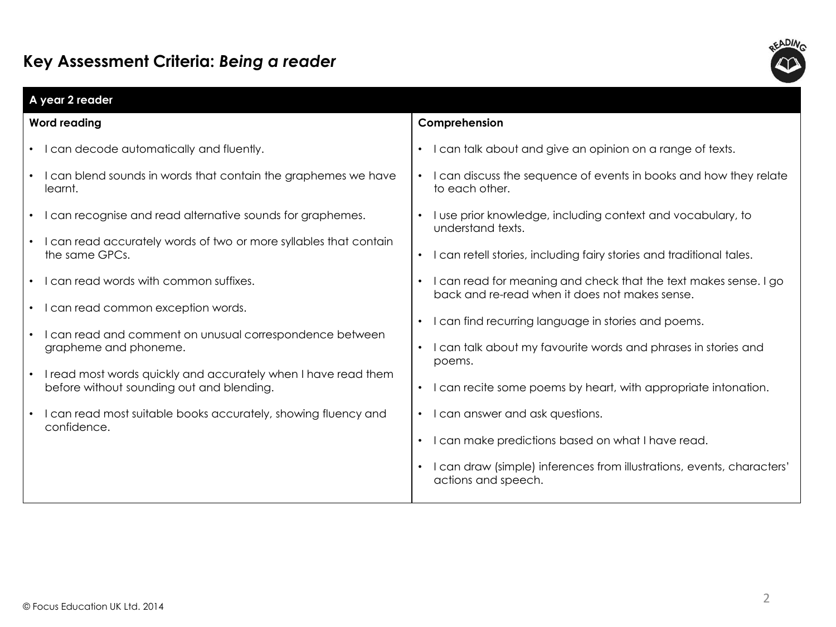# **Key Assessment Criteria:** *Being a reader*



| A year 2 reader                                                                                                                                     |                                                                                                                                                           |
|-----------------------------------------------------------------------------------------------------------------------------------------------------|-----------------------------------------------------------------------------------------------------------------------------------------------------------|
| Word reading                                                                                                                                        | Comprehension                                                                                                                                             |
| I can decode automatically and fluently.                                                                                                            | I can talk about and give an opinion on a range of texts.<br>$\bullet$                                                                                    |
| I can blend sounds in words that contain the graphemes we have<br>learnt.                                                                           | I can discuss the sequence of events in books and how they relate<br>$\bullet$<br>to each other.                                                          |
| I can recognise and read alternative sounds for graphemes.                                                                                          | I use prior knowledge, including context and vocabulary, to<br>understand texts.                                                                          |
| I can read accurately words of two or more syllables that contain<br>the same GPCs.                                                                 | I can retell stories, including fairy stories and traditional tales.<br>$\bullet$                                                                         |
| I can read words with common suffixes.                                                                                                              | I can read for meaning and check that the text makes sense. I go<br>back and re-read when it does not makes sense.                                        |
| I can read common exception words.                                                                                                                  |                                                                                                                                                           |
| I can read and comment on unusual correspondence between<br>grapheme and phoneme.<br>I read most words quickly and accurately when I have read them | I can find recurring language in stories and poems.<br>$\bullet$<br>I can talk about my favourite words and phrases in stories and<br>$\bullet$<br>poems. |
| before without sounding out and blending.                                                                                                           | I can recite some poems by heart, with appropriate intonation.<br>$\bullet$                                                                               |
| I can read most suitable books accurately, showing fluency and<br>confidence.                                                                       | • I can answer and ask questions.                                                                                                                         |
|                                                                                                                                                     | I can make predictions based on what I have read.<br>$\bullet$                                                                                            |
|                                                                                                                                                     | I can draw (simple) inferences from illustrations, events, characters'<br>actions and speech.                                                             |
|                                                                                                                                                     |                                                                                                                                                           |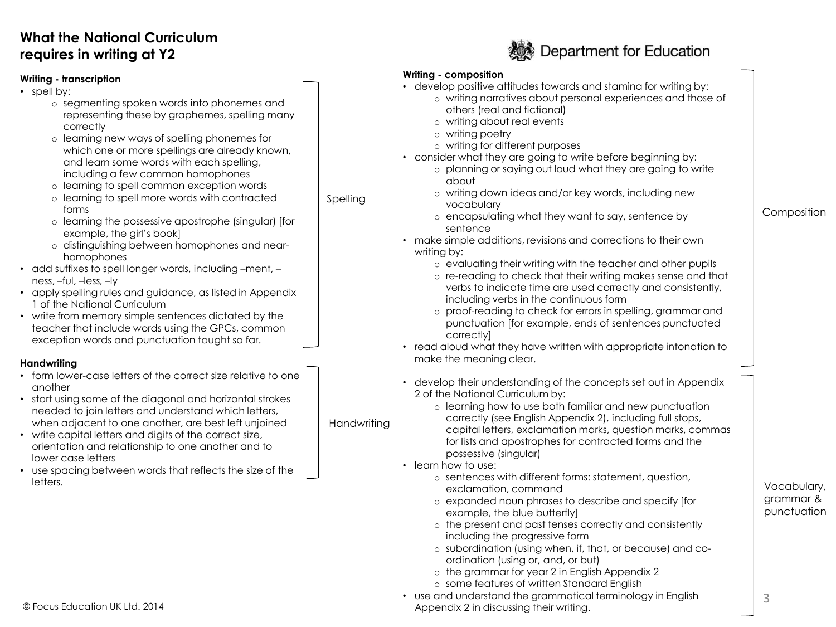# **What the National Curriculum requires in writing at Y2**

#### **Writing - transcription**

- spell by:
	- o segmenting spoken words into phonemes and representing these by graphemes, spelling many correctly
	- o learning new ways of spelling phonemes for which one or more spellings are already known, and learn some words with each spelling, including a few common homophones
	- o learning to spell common exception words
	- o learning to spell more words with contracted forms
	- o learning the possessive apostrophe (singular) [for example, the girl's book]
	- o distinguishing between homophones and nearhomophones
- add suffixes to spell longer words, including *–*ment, *–* ness, *–*ful, *–*less*, –*ly
- apply spelling rules and guidance, as listed in Appendix 1 of the National Curriculum
- write from memory simple sentences dictated by the teacher that include words using the GPCs, common exception words and punctuation taught so far.

### **Handwriting**

- form lower-case letters of the correct size relative to one another
- start using some of the diagonal and horizontal strokes needed to join letters and understand which letters, when adjacent to one another, are best left unjoined
- write capital letters and digits of the correct size, orientation and relationship to one another and to lower case letters
- use spacing between words that reflects the size of the letters.



### **Writing - composition**

|             | Writing - composition                                                                                                                                                                                                                                                                                                                                                                                                                                                                                                                                                                                                                                                                                                                                                                                                                                                                                                                                                   |                                              |
|-------------|-------------------------------------------------------------------------------------------------------------------------------------------------------------------------------------------------------------------------------------------------------------------------------------------------------------------------------------------------------------------------------------------------------------------------------------------------------------------------------------------------------------------------------------------------------------------------------------------------------------------------------------------------------------------------------------------------------------------------------------------------------------------------------------------------------------------------------------------------------------------------------------------------------------------------------------------------------------------------|----------------------------------------------|
|             | develop positive attitudes towards and stamina for writing by:<br>o writing narratives about personal experiences and those of<br>others (real and fictional)<br>o writing about real events<br>o writing poetry<br>o writing for different purposes<br>• consider what they are going to write before beginning by:                                                                                                                                                                                                                                                                                                                                                                                                                                                                                                                                                                                                                                                    |                                              |
|             | o planning or saying out loud what they are going to write<br>about                                                                                                                                                                                                                                                                                                                                                                                                                                                                                                                                                                                                                                                                                                                                                                                                                                                                                                     |                                              |
| Spelling    | o writing down ideas and/or key words, including new<br>vocabulary<br>o encapsulating what they want to say, sentence by<br>sentence                                                                                                                                                                                                                                                                                                                                                                                                                                                                                                                                                                                                                                                                                                                                                                                                                                    | Composition                                  |
|             | make simple additions, revisions and corrections to their own<br>$\bullet$<br>writing by:<br>o evaluating their writing with the teacher and other pupils<br>o re-reading to check that their writing makes sense and that<br>verbs to indicate time are used correctly and consistently,<br>including verbs in the continuous form<br>o proof-reading to check for errors in spelling, grammar and<br>punctuation [for example, ends of sentences punctuated<br>correctly<br>• read aloud what they have written with appropriate intonation to<br>make the meaning clear.                                                                                                                                                                                                                                                                                                                                                                                             |                                              |
| Handwriting | develop their understanding of the concepts set out in Appendix<br>$\bullet$<br>2 of the National Curriculum by:<br>o learning how to use both familiar and new punctuation<br>correctly (see English Appendix 2), including full stops,<br>capital letters, exclamation marks, question marks, commas<br>for lists and apostrophes for contracted forms and the<br>possessive (singular)<br>learn how to use:<br>$\bullet$<br>o sentences with different forms: statement, question,<br>exclamation, command<br>o expanded noun phrases to describe and specify [for<br>example, the blue butterfly]<br>o the present and past tenses correctly and consistently<br>including the progressive form<br>o subordination (using when, if, that, or because) and co-<br>ordination (using or, and, or but)<br>o the grammar for year 2 in English Appendix 2<br>o some features of written Standard English<br>• use and understand the grammatical terminology in English | Vocabulary,<br>grammar &<br>punctuation<br>3 |

Appendix 2 in discussing their writing.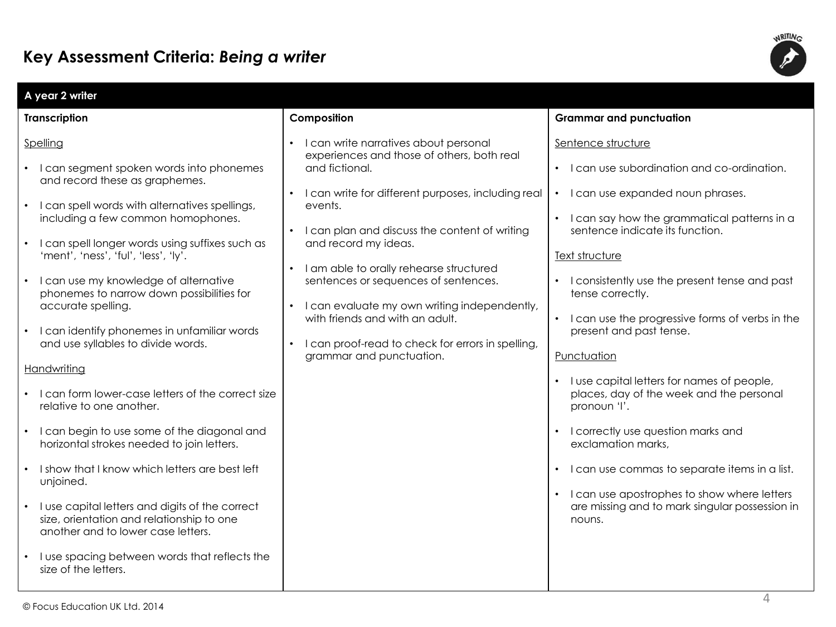# **Key Assessment Criteria:** *Being a writer*



| A year 2 writer                                                                                                                                                                                                                                                                                                                                                                                                                                                                                                                                                                                                                                                                                                                                                                                                                                                                                                                                                                                     |                                                                                                                                                                                                                                                                                                                                                                                                                                                                                                                                  |                                                                                                                                                                                                                                                                                                                                                                                                                                                                                                                                                                                                                                                                                                                                            |  |  |
|-----------------------------------------------------------------------------------------------------------------------------------------------------------------------------------------------------------------------------------------------------------------------------------------------------------------------------------------------------------------------------------------------------------------------------------------------------------------------------------------------------------------------------------------------------------------------------------------------------------------------------------------------------------------------------------------------------------------------------------------------------------------------------------------------------------------------------------------------------------------------------------------------------------------------------------------------------------------------------------------------------|----------------------------------------------------------------------------------------------------------------------------------------------------------------------------------------------------------------------------------------------------------------------------------------------------------------------------------------------------------------------------------------------------------------------------------------------------------------------------------------------------------------------------------|--------------------------------------------------------------------------------------------------------------------------------------------------------------------------------------------------------------------------------------------------------------------------------------------------------------------------------------------------------------------------------------------------------------------------------------------------------------------------------------------------------------------------------------------------------------------------------------------------------------------------------------------------------------------------------------------------------------------------------------------|--|--|
| <b>Transcription</b>                                                                                                                                                                                                                                                                                                                                                                                                                                                                                                                                                                                                                                                                                                                                                                                                                                                                                                                                                                                | Composition                                                                                                                                                                                                                                                                                                                                                                                                                                                                                                                      | <b>Grammar and punctuation</b>                                                                                                                                                                                                                                                                                                                                                                                                                                                                                                                                                                                                                                                                                                             |  |  |
| Spelling<br>I can segment spoken words into phonemes<br>and record these as graphemes.<br>I can spell words with alternatives spellings,<br>including a few common homophones.<br>I can spell longer words using suffixes such as<br>$\bullet$<br>'ment', 'ness', 'ful', 'less', 'ly'.<br>I can use my knowledge of alternative<br>phonemes to narrow down possibilities for<br>accurate spelling.<br>I can identify phonemes in unfamiliar words<br>and use syllables to divide words.<br><b>Handwriting</b><br>I can form lower-case letters of the correct size<br>relative to one another.<br>I can begin to use some of the diagonal and<br>$\bullet$<br>horizontal strokes needed to join letters.<br>I show that I know which letters are best left<br>unjoined.<br>I use capital letters and digits of the correct<br>$\bullet$<br>size, orientation and relationship to one<br>another and to lower case letters.<br>I use spacing between words that reflects the<br>size of the letters. | I can write narratives about personal<br>experiences and those of others, both real<br>and fictional.<br>I can write for different purposes, including real<br>events.<br>I can plan and discuss the content of writing<br>$\bullet$<br>and record my ideas.<br>I am able to orally rehearse structured<br>$\bullet$<br>sentences or sequences of sentences.<br>I can evaluate my own writing independently,<br>with friends and with an adult.<br>I can proof-read to check for errors in spelling,<br>grammar and punctuation. | Sentence structure<br>I can use subordination and co-ordination.<br>$\bullet$<br>• I can use expanded noun phrases.<br>I can say how the grammatical patterns in a<br>sentence indicate its function.<br>Text structure<br>I consistently use the present tense and past<br>tense correctly.<br>• I can use the progressive forms of verbs in the<br>present and past tense.<br>Punctuation<br>I use capital letters for names of people,<br>places, day of the week and the personal<br>pronoun 'l'.<br>I correctly use question marks and<br>exclamation marks.<br>I can use commas to separate items in a list.<br>$\bullet$<br>I can use apostrophes to show where letters<br>are missing and to mark singular possession in<br>nouns. |  |  |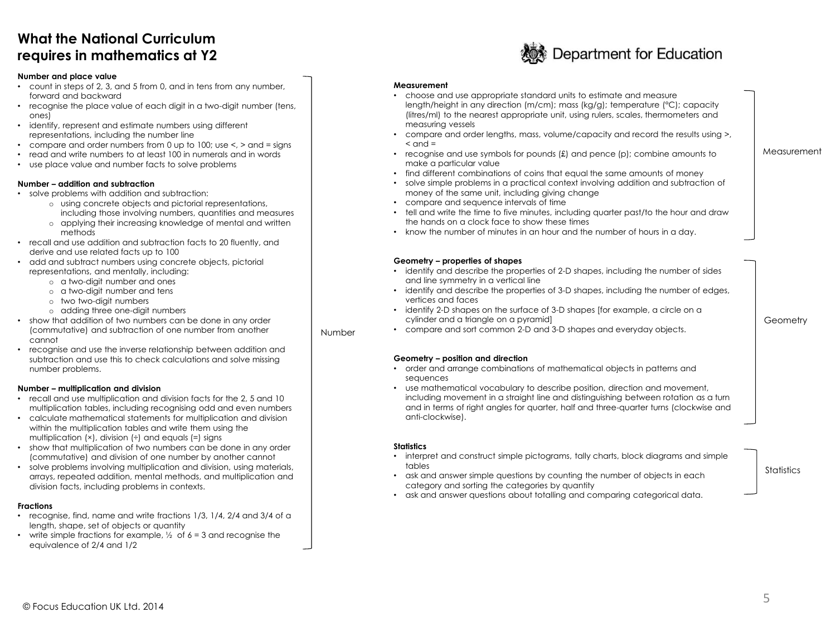## **What the National Curriculum requires in mathematics at Y2**

#### **Number and place value**

- count in steps of 2, 3, and 5 from 0, and in tens from any number, forward and backward
- recognise the place value of each digit in a two-digit number (tens, ones)
- identify, represent and estimate numbers using different representations, including the number line
- compare and order numbers from 0 up to 100; use  $\leq$ ,  $\geq$  and  $\equiv$  signs
- read and write numbers to at least 100 in numerals and in words
- use place value and number facts to solve problems

#### **Number – addition and subtraction**

- solve problems with addition and subtraction:
	- o using concrete objects and pictorial representations, including those involving numbers, quantities and measures o applying their increasing knowledge of mental and written
	- methods
- recall and use addition and subtraction facts to 20 fluently, and derive and use related facts up to 100
- add and subtract numbers using concrete objects, pictorial representations, and mentally, including:
	- o a two-digit number and ones
	- o a two-digit number and tens
	- o two two-digit numbers
	- o adding three one-digit numbers
- show that addition of two numbers can be done in any order (commutative) and subtraction of one number from another cannot
- recognise and use the inverse relationship between addition and subtraction and use this to check calculations and solve missing number problems.

#### **Number – multiplication and division**

- recall and use multiplication and division facts for the 2, 5 and 10 multiplication tables, including recognising odd and even numbers
- calculate mathematical statements for multiplication and division within the multiplication tables and write them using the multiplication  $(x)$ , division  $(\div)$  and equals  $(=)$  signs
- show that multiplication of two numbers can be done in any order (commutative) and division of one number by another cannot
- solve problems involving multiplication and division, using materials, arrays, repeated addition, mental methods, and multiplication and division facts, including problems in contexts.

#### **Fractions**

- recognise, find, name and write fractions 1/3, 1/4, 2/4 and 3/4 of a length, shape, set of objects or quantity
- write simple fractions for example,  $\frac{1}{2}$  of 6 = 3 and recognise the equivalence of 2/4 and 1/2



#### **Measurement**

- choose and use appropriate standard units to estimate and measure length/height in any direction (m/cm); mass (kg/g); temperature (°C); capacity (litres/ml) to the nearest appropriate unit, using rulers, scales, thermometers and measuring vessels
- compare and order lengths, mass, volume/capacity and record the results using >,  $<$  and  $=$
- recognise and use symbols for pounds  $(f)$  and pence (p); combine amounts to make a particular value
- find different combinations of coins that equal the same amounts of money
- solve simple problems in a practical context involving addition and subtraction of money of the same unit, including giving change
- compare and sequence intervals of time
- tell and write the time to five minutes, including quarter past/to the hour and draw the hands on a clock face to show these times
- know the number of minutes in an hour and the number of hours in a day.

#### **Geometry – properties of shapes**

- identify and describe the properties of 2-D shapes, including the number of sides and line symmetry in a vertical line
- identify and describe the properties of 3-D shapes, including the number of edges, vertices and faces
- identify 2-D shapes on the surface of 3-D shapes [for example, a circle on a cylinder and a triangle on a pyramid]
- compare and sort common 2-D and 3-D shapes and everyday objects.

#### **Geometry – position and direction**

- order and arrange combinations of mathematical objects in patterns and sequences
- use mathematical vocabulary to describe position, direction and movement, including movement in a straight line and distinguishing between rotation as a turn and in terms of right angles for quarter, half and three-quarter turns (clockwise and anti-clockwise).

#### **Statistics**

Number

- interpret and construct simple pictograms, tally charts, block diagrams and simple tables
- ask and answer simple questions by counting the number of objects in each category and sorting the categories by quantity
- ask and answer questions about totalling and comparing categorical data.

© Focus Education UK Ltd. 2014

#### **Geometry**

**Statistics** 

Measurement